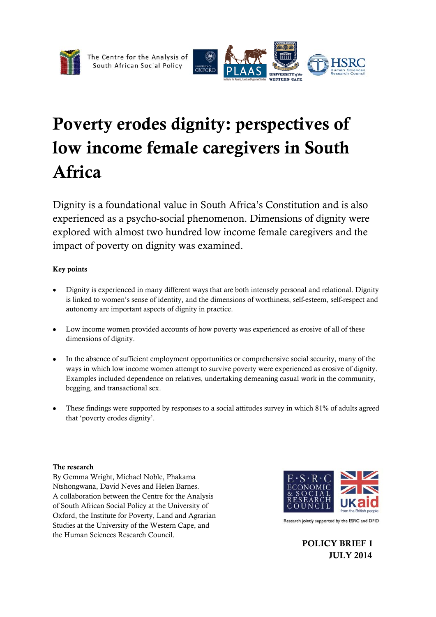



# Poverty erodes dignity: perspectives of low income female caregivers in South Africa

Dignity is a foundational value in South Africa's Constitution and is also experienced as a psycho-social phenomenon. Dimensions of dignity were explored with almost two hundred low income female caregivers and the impact of poverty on dignity was examined.

#### Key points

- Dignity is experienced in many different ways that are both intensely personal and relational. Dignity is linked to women's sense of identity, and the dimensions of worthiness, self-esteem, self-respect and autonomy are important aspects of dignity in practice.
- Low income women provided accounts of how poverty was experienced as erosive of all of these dimensions of dignity.
- In the absence of sufficient employment opportunities or comprehensive social security, many of the ways in which low income women attempt to survive poverty were experienced as erosive of dignity. Examples included dependence on relatives, undertaking demeaning casual work in the community, begging, and transactional sex.
- These findings were supported by responses to a social attitudes survey in which 81% of adults agreed that 'poverty erodes dignity'.

#### The research

By Gemma Wright, Michael Noble, Phakama Ntshongwana, David Neves and Helen Barnes. A collaboration between the Centre for the Analysis of South African Social Policy at the University of Oxford, the Institute for Poverty, Land and Agrarian Studies at the University of the Western Cape, and the Human Sciences Research Council.



Research jointly supported by the ESRC and DFID

POLICY BRIEF 1 JULY 2014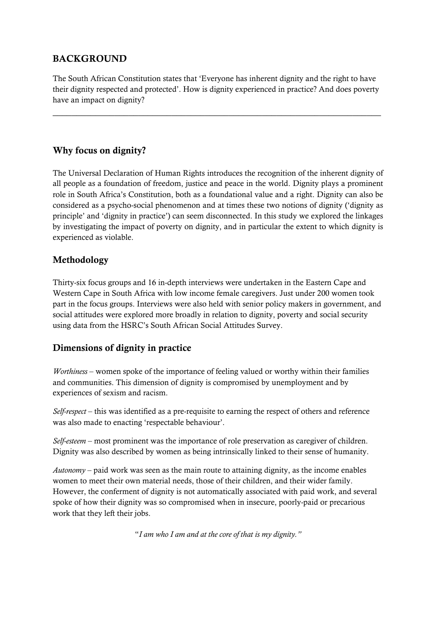## BACKGROUND

The South African Constitution states that 'Everyone has inherent dignity and the right to have their dignity respected and protected'. How is dignity experienced in practice? And does poverty have an impact on dignity?

 $\overline{\phantom{a}}$  , and the contribution of the contribution of the contribution of the contribution of the contribution of the contribution of the contribution of the contribution of the contribution of the contribution of the

#### Why focus on dignity?

The Universal Declaration of Human Rights introduces the recognition of the inherent dignity of all people as a foundation of freedom, justice and peace in the world. Dignity plays a prominent role in South Africa's Constitution, both as a foundational value and a right. Dignity can also be considered as a psycho-social phenomenon and at times these two notions of dignity ('dignity as principle' and 'dignity in practice') can seem disconnected. In this study we explored the linkages by investigating the impact of poverty on dignity, and in particular the extent to which dignity is experienced as violable.

#### Methodology

Thirty-six focus groups and 16 in-depth interviews were undertaken in the Eastern Cape and Western Cape in South Africa with low income female caregivers. Just under 200 women took part in the focus groups. Interviews were also held with senior policy makers in government, and social attitudes were explored more broadly in relation to dignity, poverty and social security using data from the HSRC's South African Social Attitudes Survey.

#### Dimensions of dignity in practice

*Worthiness* – women spoke of the importance of feeling valued or worthy within their families and communities. This dimension of dignity is compromised by unemployment and by experiences of sexism and racism.

*Self-respect* – this was identified as a pre-requisite to earning the respect of others and reference was also made to enacting 'respectable behaviour'.

*Self-esteem* – most prominent was the importance of role preservation as caregiver of children. Dignity was also described by women as being intrinsically linked to their sense of humanity.

*Autonomy* – paid work was seen as the main route to attaining dignity, as the income enables women to meet their own material needs, those of their children, and their wider family. However, the conferment of dignity is not automatically associated with paid work, and several spoke of how their dignity was so compromised when in insecure, poorly-paid or precarious work that they left their jobs.

"*I am who I am and at the core of that is my dignity."*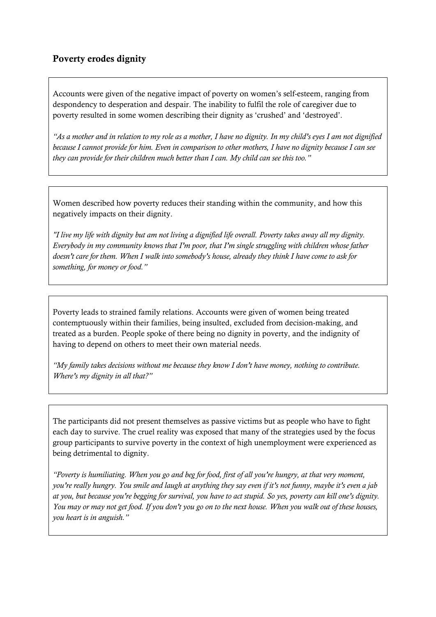Accounts were given of the negative impact of poverty on women's self-esteem, ranging from despondency to desperation and despair. The inability to fulfil the role of caregiver due to poverty resulted in some women describing their dignity as 'crushed' and 'destroyed'.

*"As a mother and in relation to my role as a mother, I have no dignity. In my child's eyes I am not dignified because I cannot provide for him. Even in comparison to other mothers, I have no dignity because I can see they can provide for their children much better than I can. My child can see this too."* 

Women described how poverty reduces their standing within the community, and how this negatively impacts on their dignity.

*"I live my life with dignity but am not living a dignified life overall. Poverty takes away all my dignity. Everybody in my community knows that I'm poor, that I'm single struggling with children whose father doesn't care for them. When I walk into somebody's house, already they think I have come to ask for something, for money or food."* 

Poverty leads to strained family relations. Accounts were given of women being treated contemptuously within their families, being insulted, excluded from decision-making, and treated as a burden. People spoke of there being no dignity in poverty, and the indignity of having to depend on others to meet their own material needs.

*"My family takes decisions without me because they know I don't have money, nothing to contribute. Where's my dignity in all that?"* 

The participants did not present themselves as passive victims but as people who have to fight each day to survive. The cruel reality was exposed that many of the strategies used by the focus group participants to survive poverty in the context of high unemployment were experienced as being detrimental to dignity.

*"Poverty is humiliating. When you go and beg for food, first of all you're hungry, at that very moment, you're really hungry. You smile and laugh at anything they say even if it's not funny, maybe it's even a jab at you, but because you're begging for survival, you have to act stupid. So yes, poverty can kill one's dignity. You may or may not get food. If you don't you go on to the next house. When you walk out of these houses, you heart is in anguish."*